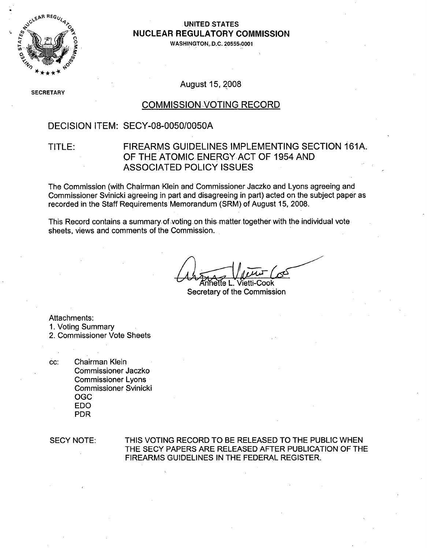

### " **.UNITED STATES NUCLEAR** REGULATORY **COMMISSION**

**WASHINGTON, D.C. 20555-0001**

SECR ETARY

August 15, 2008

## COMMISSION VOTING RECORD

### DECISION ITEM: SECY-08-0050/0050A

### TITLE: FIREARMS GUIDELINES IMPLEMENTING SECTION **161A.** OF THE ATOMIC ENERGY ACT OF 1954 AND ASSOCIATED POLICY ISSUES

The Commission (with Chairman Klein and Commissioner Jaczko and Lyons agreeing and Commissioner Svinicki agreeing in part and disagreeing in part) acted on the subject paper as recorded in the Staff Requirements Memorandum (SRM) of August 15, 2008.

This Record contains a summary of voting on this-matter together with the individual vote sheets, views and comments of the Commission.

Annette L. Vietti-Cook

Secretary of the Commission

Attachments:

1. Voting Summary

2. Commissioner Vote Sheets

**cC:** Chairman Klein Commissioner Jaczko Commissioner Lyons Commissioner Svinicki OGC **EDO** PDR

SECY NOTE: THIS VOTING RECORD TO BE RELEASED TO THE PUBLIC WHEN THE SECY PAPERS ARE RELEASED AFTER PUBLICATION OF THE FIREARMS GUIDELINES IN THE FEDERAL REGISTER.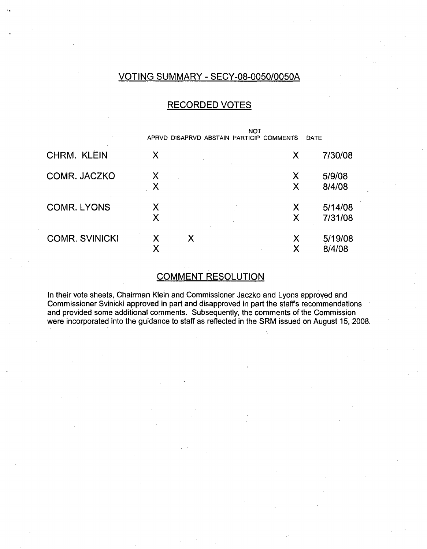### VOTING SUMMARY - SECY-08-0050/0050A

## RECORDED VOTES

|                       | APRVD DISAPRVD ABSTAIN PARTICIP COMMENTS | <b>NOT</b> | DATE               |
|-----------------------|------------------------------------------|------------|--------------------|
| CHRM. KLEIN           | Χ                                        | Χ          | 7/30/08            |
| COMR. JACZKO          | Χ<br>Χ                                   | Χ<br>Χ     | 5/9/08<br>8/4/08   |
| <b>COMR. LYONS</b>    | Χ<br>Χ                                   | Χ<br>Χ     | 5/14/08<br>7/31/08 |
| <b>COMR. SVINICKI</b> | Χ<br>Χ<br>Χ                              | Χ<br>Х     | 5/19/08<br>8/4/08  |

#### COMMENT RESOLUTION

In their vote sheets, Chairman Klein and Commissioner Jaczko and Lyons approved and Commissioner Svinicki approved in part and disapproved in part the staffs recommendations and provided some additional comments. Subsequently, the comments of the Commission were incorporated into the guidance to staff as reflected in the SRM issued on August 15, 2008.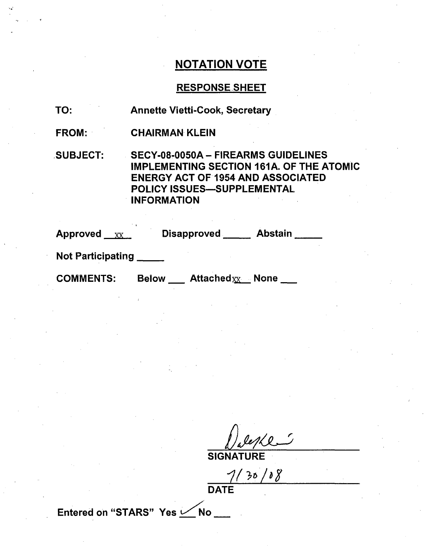## RESPONSE SHEET

- TO: Annette Vietti-Cook, Secretary
- FROM: CHAIRMAN KLEIN

,SUBJECT: SECY-08-0050A - FIREARMS GUIDELINES IMPLEMENTING SECTION 161A. OF THE ATOMIC ENERGY ACT OF 1954 AND ASSOCIATED POLICY ISSUES-SUPPLEMENTAL INFORMATION

| <b>Approved</b> | <b>Disapproved</b> | <b>Abstain</b> |
|-----------------|--------------------|----------------|
|                 |                    |                |

Not Participating **\_**

COMMENTS: Below Attached<sub>XX</sub> None

SIGNA

 $7/30/08$ 

DATE

Entered on "STARS" Yes  $\swarrow$  No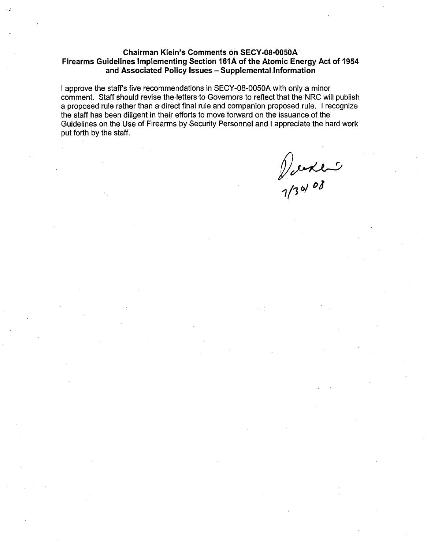#### Chairman Klein's Comments on **SECY-08-0050A** Firearms Guidelines Implementing Section **161A** of the Atomic Energy Act of 1954 and Associated Policy Issues - Supplemental Information

I approve the staff's five recommendations in SECY-08-0050A with only a minor comment. Staff should revise the letters to Governors to reflect that the NRC will publish a proposed rule rather than a direct final rule and companion proposed rule. I recognize the staff has been diligent in their efforts to move forward on the issuance of the Guidelines on the Use of Firearms by Security Personnel and I appreciate the hard work put forth by the staff.

1/20 xler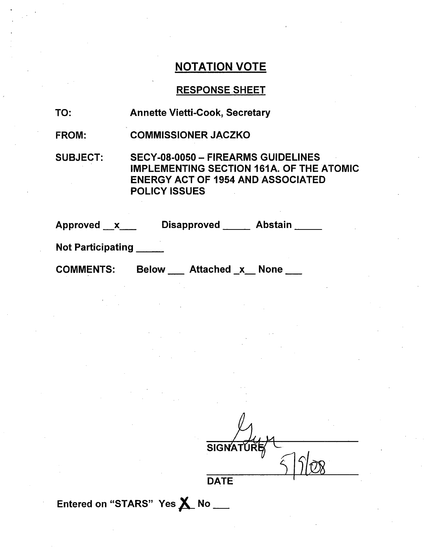### **RESPONSE SHEET**

| TO: |  | <b>Annette Vietti-Cook, Secretary</b> |  |
|-----|--|---------------------------------------|--|
|-----|--|---------------------------------------|--|

FROM: COMMISSIONER JACZKO

SUBJECT: SECY-08-0050 - FIREARMS GUIDELINES IMPLEMENTING SECTION 161A. OF THE ATOMIC ENERGY ACT OF 1954 AND ASSOCIATED POLICY ISSUES

| Approved __x_ | <b>Disapproved</b> | <b>Abstain</b> |
|---------------|--------------------|----------------|
|               |                    |                |

Not Participating

**COMMENTS:** 

Below \_\_\_ Attached \_x \_\_ None \_\_\_

**SIGNA DATE** 

Entered on "STARS" Yes X No \_\_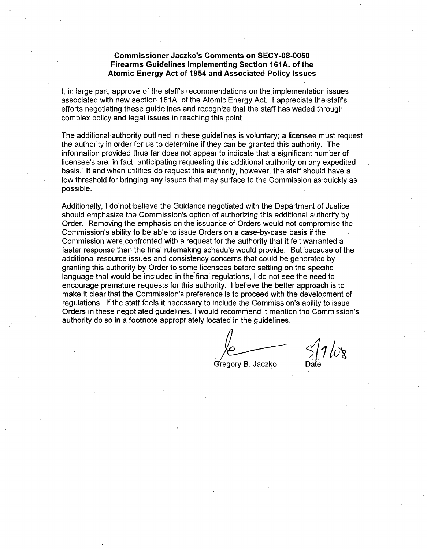#### Commissioner Jaczko's Comments on **SECY-08-0050** Firearms Guidelines Implementing Section **161A.** of the Atomic Energy Act of 1954 and Associated Policy Issues

**I,** in large part, approve of the staffs recommendations on the implementation issues associated with new section 161A. of the Atomic Energy Act. I appreciate the staffs efforts negotiating these guidelines and recognize that the staff has waded through complex policy and legal issues in reaching this point.

The additional authority outlined in these guidelines is voluntary; a licensee must request the authority in order for us to determine if they can be granted this authority. The information provided thus far does not appear to indicate that a significant number of licensee's are, in fact, anticipating requesting this additional authority on any expedited basis. If and when utilities do request this authority, however, the staff should have a low threshold for bringing any issues that may surface to the Commission as quickly as possible.

Additionally, I do'not believe the Guidance negotiated with the Department of Justice should emphasize the Commission's option of authorizing this additional authority by Order. Removing the emphasis on the issuance of Orders would not compromise the Commission's ability to be able to issue Orders on a case-by-case basis if the Commission were confronted with a request for the authority that it felt warranted a faster response than the final rulemaking schedule would provide. But because of the additional resource issues and consistency concerns that could be generated by granting this authority by Order to some licensees before settling on the specific language that would. be included in the final regulations, I do not see the need to encourage premature requests for this authority. I believe the better approach is to make it clear that the Commission's preference is to proceed with the development of regulations. If the staff feels it necessary to include the Commission's ability to issue Orders in these negotiated guidelines, I would recommend it mention the Commission's authority do so in a footnote appropriately located in the guidelines.

Gregory B. Jaczko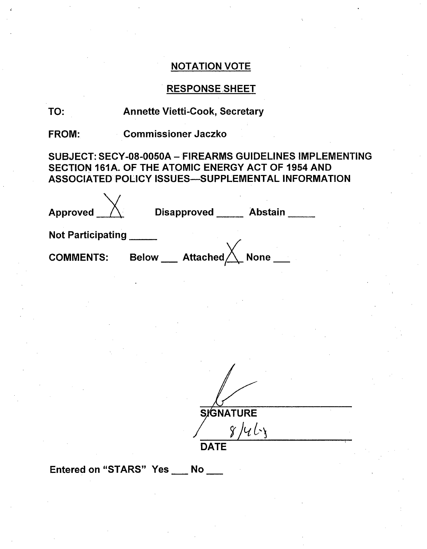# RESPONSE SHEET

# TO: Annette Vietti-Cook, Secretary

FROM: Commissioner Jaczko

SUBJECT: SECY-08-0050A **-** FIREARMS GUIDELINES IMPLEMENTING SECTION 161A. OF THE ATOMIC ENERGY ACT OF 1954 AND ASSOCIATED POLICY ISSUES-SUPPLEMENTAL INFORMATION

| Approved                 | <b>Abstain</b><br><b>Disapproved</b>           |
|--------------------------|------------------------------------------------|
| <b>Not Participating</b> |                                                |
| <b>COMMENTS:</b>         | <b>Attached</b><br><b>None</b><br><b>Below</b> |

 $\frac{S}{{S}}$ GNATURE **DATE**

Entered on "STARS" Yes No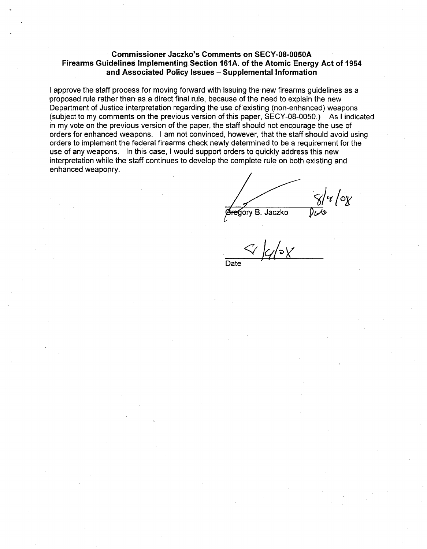#### • Commissioner Jaczko's Comments on **SECY-08-0050A** Firearms Guidelines Implementing Section **161A.** of the Atomic Energy Act of 1954 and Associated Policy Issues - Supplemental Information

I approve the staff process for moving forward with issuing the new firearms guidelines as a proposed rule rather than as a direct final rule, because of the need to explain the new Department of Justice interpretation regarding the use of existing (non-enhanced) weapons (subject to my comments on the previous version of this paper, SECY-08-0050.) As I indicated in my vote on the previous version of the paper, the staff should not encourage the use of orders for enhanced weapons. I am not convinced, however, that the staff should avoid using orders to implement the federal firearms check newly determined to be a requirement for the use of any weapons. In this case, I would support orders to quickly address this new interpretation while the staff continues to develop the complete rule on both existing and enhanced weaponry.

 $\frac{1}{2}$ u /0z ∉gory B. Jaczko

Date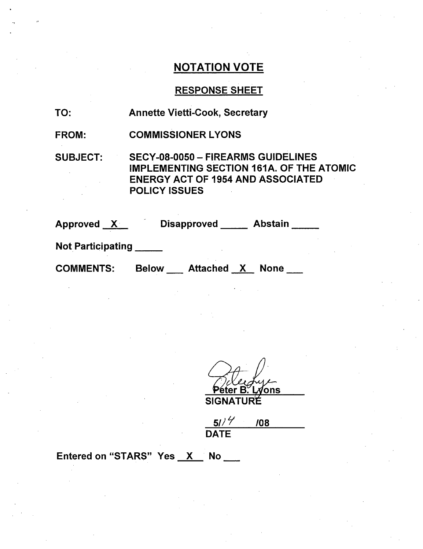# RESPONSE SHEET

| TO: | <b>Annette Vietti-Cook, Secretary</b> |
|-----|---------------------------------------|
|-----|---------------------------------------|

FROM: COMMISSIONER LYONS

SUBJECT: SECY-08-0050 - FIREARMS GUIDELINES IMPLEMENTING SECTION 161A. OF THE ATOMIC ENERGY ACT OF 1954 AND ASSOCIATED POLICY ISSUES

Approved X Disapproved Abstain

Not Participating

COMMENTS: Below \_\_\_\_ Attached \_<u>X </u> None

ons/ SIGNA

**50" /08**  $\frac{51/7}{\text{DATE}}$ 

### Entered on "STARS" Yes  $X$  No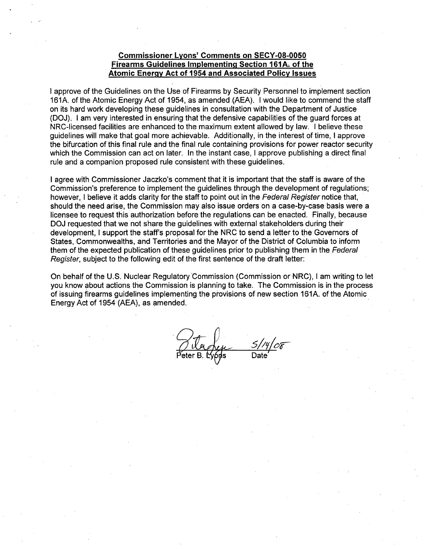#### Commissioner Lyons' Comments on **SECY-08-0050** Firearms Guidelines Implementing Section **161A-.** of the Atomic Energy Act of 1954-and Associated Policy Issues

I approve of the Guidelines on the Use of Firearms by Security Personnel to implement section 161A. of the Atomic Energy Act of 1954, as amended (AEA). I would like to commend the staff on its hard work developing these guidelines in consultation with the Department of Justice (DOJ). I am very interested in ensuring that the defensive capabilities of the guard forces at NRC-licensed facilities are enhanced to the maximum extent allowed by law. I believe these guidelines will make that goal more achievable. Additionally, in the interest of time, I approve the bifurcation of this final rule and the final rule containing provisions for power reactor security which the Commission can act on later. In the instant case, I approve publishing a direct final rule and a companion proposed rule consistent with these guidelines.

I agree with Commissioner Jaczko's comment that it is important that the staff is aware of the Commission's preference to implement the guidelines through the development of regulations; however, I believe it adds clarity for the staff to point out in the *Federal Register* notice that, should the need arise, the Commission may also issue orders on a case-by-case basis were a licensee to request this authorization before the regulations can be enacted. Finally, because DOJ requested that we not share the guidelines with external stakeholders during their development, I support the staff's proposal for the NRC to send a letter to the Governors of States, Commonwealths, and Territories and the Mayor of the District of Columbia to inform them of the expected publication of these guidelines prior to publishing them in the Federal *Register,* subject to the following edit of the first sentence of the draft letter:

On behalf of the U.S. Nuclear Regulatory Commission (Commission or NRC), I am writing to let you know about actions the Commission is planning to take. The Commission is in the process of issuing firearms guidelines implementing the provisions of new section 161A. of the Atomic Energy Act of 1954 (AEA), as amended.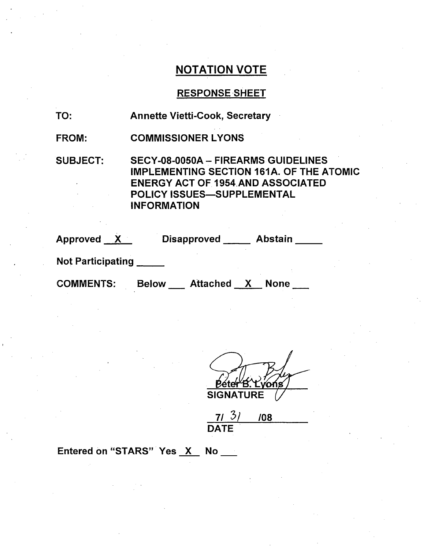## **RESPONSE SHEET**

| TO: |  | <b>Annette Vietti-Cook, Secretary</b> |  |
|-----|--|---------------------------------------|--|
|-----|--|---------------------------------------|--|

FROM: COMMISSIONER LYONS

SUBJECT: SECY-08-0050A - FIREARMS GUIDELINES IMPLEMENTING SECTION 161A. OF THE ATOMIC ENERGY ACT OF 1954 AND ASSOCIATED POLICY ISSUES-SUPPLEMENTAL INFORMATION

| Approved                 | <b>Disapproved</b>              | <b>Abstain</b> |
|--------------------------|---------------------------------|----------------|
| <b>Not Participating</b> |                                 |                |
| <b>COMMENTS:</b>         | <b>Attached</b><br><b>Below</b> | <b>None</b>    |

rońs **SIGNATURE** 

**7/** 3/ /o8 DATE

Entered on "STARS" Yes X No \_\_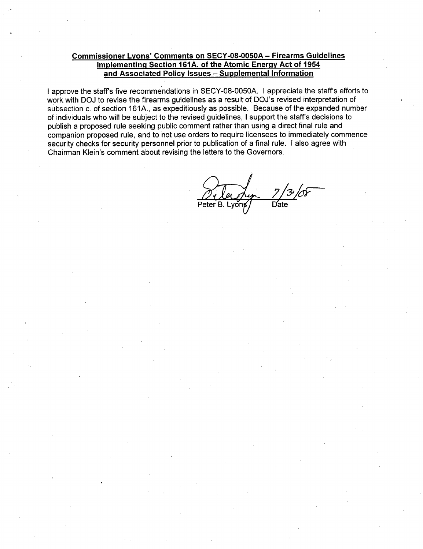#### Commissioner Lyons' Comments on **SECY-08-0050A** - Firearms Guidelines Implementing Section **161A.** of the Atomic Energy Act of 1954 and Associated Policy Issues - Supplemental Information

I approve the staff's five recommendations in SECY-08-0050A. I appreciate the staff's efforts to work with DOJ to revise the firearms guidelines as a result of DOJ's revised interpretation of subsection c. of section 161A., as expeditiously as possible. Because of the expanded number of individuals who will be subject to the revised guidelines, I support the staff's decisions to publish a proposed rule seeking public comment rather than using a direct final rule and companion proposed rule, and to not use orders to require licensees to immediately commence security checks for security personnel prior to publication of a final rule. I also agree with Chairman Klein's comment about revising the letters to the Governors.

Peter B. Lyons / Date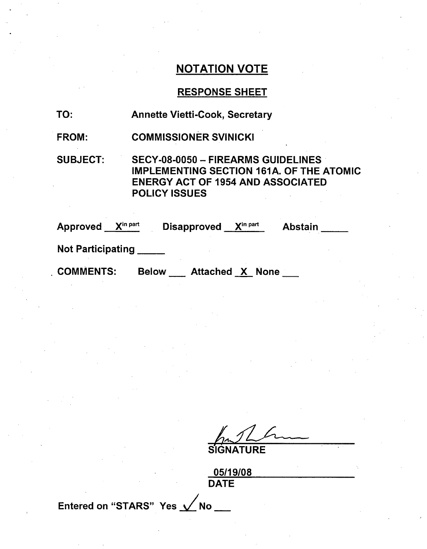## RESPONSE SHEET

- TO: Annette Vietti-Cook, Secretary
- FROM: COMMISSIONER SVINICKI

SUBJECT: SECY-08-0050 - FIREARMS GUIDELINES IMPLEMENTING SECTION 161A. OF THE ATOMIC ENERGY ACT OF 1954 AND ASSOCIATED POLICY ISSUES

| $\mathsf{X}^{\mathsf{in} \, \mathsf{part}}$<br>Approved | X <sup>in part</sup><br><b>Disapproved</b><br><b>Abstain</b> |  |
|---------------------------------------------------------|--------------------------------------------------------------|--|
| <b>Not Participating</b>                                |                                                              |  |
| <b>COMMENTS:</b>                                        | Attached <u>X</u> None<br><b>Below</b>                       |  |

**SIGNATURE** 

 $05140/06$ DATE

Entered on "STARS" Yes  $\swarrow$  No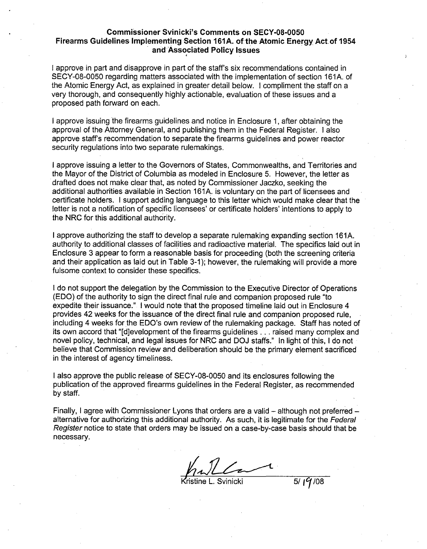#### Commissioner Svinicki's Comments on **SECY-08-0050** Firearms Guidelines Implementing Section **161A.** of-the Atomic Energy Actof 1954 and-Associated Policy Issues

I approve in part and disapprove in part of the staff's six recommendations contained in SECY-08-0050 regarding matters associated with the implementation of section 161A. of the Atomic Energy Act, as explained in greater detail below. I compliment the staff on a very thorough, and consequently highly actionable, evaluation of these issues and a proposed path forward on each.

I approve issuing the firearms guidelines and notice in Enclosure 1, after obtaining the approval of the Attorney General, and publishing them in the Federal Register. I also approve staff's recommendation to separate the firearms guidelines and power reactor security regulations into two separate rulemakings.

I approve issuing a letter to the Governors of States, Commonwealths, and Territories and the Mayor of the District of Columbia as modeled in Enclosure 5. However, the letter as drafted does not make clear that, as noted by Commissioner Jaczko, seeking the additional authorities available in Section 161A. is voluntary on the part of licensees and certificate holders. I support adding language to this letter which would make clear that the letter is not a notification of specific licensees' or certificate holders' intentions to apply to the NRC for this additional authority.

I approve authorizing the staff to develop a separate rulemaking expanding section 161A. authority to additional classes of facilities and radioactive material. The specifics laid out in Enclosure 3 appear to form a reasonable basis for proceeding (both the screening criteria and their application as laid out in Table 3-1); however, the rulemaking will provide a more fulsome context to consider these specifics.

I do not support the delegation by the Commission to the Executive Director of Operations (EDO) of the authority to sign the direct final rule and companion proposed rule "to expedite their issuance." I would note that the proposed timeline laid out in Enclosure 4 provides 42 weeks for the issuance of the direct final rule and companion proposed rule, including 4 weeks for the EDO's own review of the rulemaking package. Staff has noted of its own accord that "[d]evelopment of the firearms guidelines **...** raised many complex and novel policy, technical, and legal issues for NRC and DOJ staffs." In light of this, I do not believe that Commission review and deliberation should be the primary element sacrificed in the interest of agency timeliness.

I also approve the public release of SECY-08-0050 and its enclosures following the publication of the approved firearms guidelines in the Federal Register, as recommended by staff.

Finally, I agree with Commissioner Lyons that orders are a valid  $-$  although not preferred  $$ alternative for authorizing this additional authority. As such, it is legitimate for the *Federal Register* notice to state that orders may be issued on a case-by-case basis should that be necessary.

ristine L. Svinicki **5/17/08**